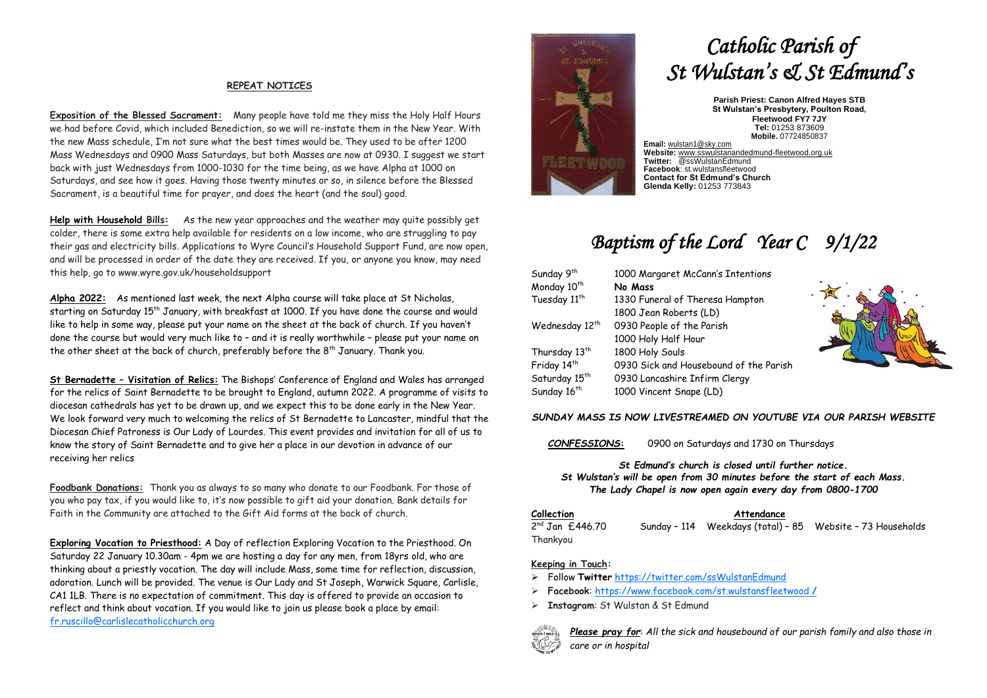#### **REPEAT NOTICES**

**Exposition of the Blessed Sacrament:** Many people have told me they miss the Holy Half Hours we had before Covid, which included Benediction, so we will re-instate them in the New Year. With the new Mass schedule, I'm not sure what the best times would be. They used to be after 1200 Mass Wednesdays and 0900 Mass Saturdays, but both Masses are now at 0930. I suggest we start back with just Wednesdays from 1000-1030 for the time being, as we have Alpha at 1000 on Saturdays, and see how it goes. Having those twenty minutes or so, in silence before the Blessed Sacrament, is a beautiful time for prayer, and does the heart (and the soul) good.

**Help with Household Bills:** As the new year approaches and the weather may quite possibly get colder, there is some extra help available for residents on a low income, who are struggling to pay their gas and electricity bills. Applications to Wyre Council's Household Support Fund, are now open, and will be processed in order of the date they are received. If you, or anyone you know, may need this help, go to www.wyre.gov.uk/householdsupport

**Alpha 2022:** As mentioned last week, the next Alpha course will take place at St Nicholas, starting on Saturday 15th January, with breakfast at 1000. If you have done the course and would like to help in some way, please put your name on the sheet at the back of church. If you haven't done the course but would very much like to – and it is really worthwhile – please put your name on the other sheet at the back of church, preferably before the  $8<sup>th</sup>$  January. Thank you.

**St Bernadette – Visitation of Relics:** The Bishops' Conference of England and Wales has arranged for the relics of Saint Bernadette to be brought to England, autumn 2022. A programme of visits to diocesan cathedrals has yet to be drawn up, and we expect this to be done early in the New Year. We look forward very much to welcoming the relics of St Bernadette to Lancaster, mindful that the Diocesan Chief Patroness is Our Lady of Lourdes. This event provides and invitation for all of us to know the story of Saint Bernadette and to give her a place in our devotion in advance of our receiving her relics

**Foodbank Donations:** Thank you as always to so many who donate to our Foodbank. For those of you who pay tax, if you would like to, it's now possible to gift aid your donation. Bank details for Faith in the Community are attached to the Gift Aid forms at the back of church.

**Exploring Vocation to Priesthood:** A Day of reflection Exploring Vocation to the Priesthood. On Saturday 22 January 10.30am - 4pm we are hosting a day for any men, from 18yrs old, who are thinking about a priestly vocation. The day will include Mass, some time for reflection, discussion, adoration. Lunch will be provided. The venue is Our Lady and St Joseph, Warwick Square, Carlisle, CA1 1LB. There is no expectation of commitment. This day is offered to provide an occasion to reflect and think about vocation. If you would like to join us please book a place by email: [fr.ruscillo@carlislecatholicchurch.org](mailto:fr.ruscillo@carlislecatholicchurch.org)



# *Catholic Parish of St Wulstan's & St Edmund's*

**Parish Priest: Canon Alfred Hayes STB St Wulstan's Presbytery, Poulton Road, Fleetwood FY7 7JY Tel:** 01253 873609 **Mobile.** 07724850837

**Email:** [wulstan1@sky.com](mailto:wulstan1@sky.com) **Website:** [www.sswulstanandedmund-fleetwood.org.uk](http://www.sswulstanandedmund-fleetwood.org.uk/) **Twitter:** @ssWulstanEdmund **Facebook**: st.wulstansfleetwood **Contact for St Edmund's Church Glenda Kelly:** 01253 773843

## *Baptism of the Lord Year C 9/1/22*

| 1000 Margaret McCann's Intentions      |  |  |
|----------------------------------------|--|--|
| No Mass                                |  |  |
| 1330 Funeral of Theresa Hampton        |  |  |
| 1800 Jean Roberts (LD)                 |  |  |
| 0930 People of the Parish              |  |  |
| 1000 Holy Half Hour                    |  |  |
| 1800 Holy Souls                        |  |  |
| 0930 Sick and Housebound of the Parish |  |  |
| 0930 Lancashire Infirm Clergy          |  |  |
| 1000 Vincent Snape (LD)                |  |  |
|                                        |  |  |



#### *SUNDAY MASS IS NOW LIVESTREAMED ON YOUTUBE VIA OUR PARISH WEBSITE*

*CONFESSIONS***:** 0900 on Saturdays and 1730 on Thursdays

*St Edmund's church is closed until further notice. St Wulstan's will be open from 30 minutes before the start of each Mass. The Lady Chapel is now open again every day from 0800-1700*

**Collection Attendance**

 $2^{nd}$  Jan £446.70 Sunday - 114 Weekdays (total) - 85 Website - 73 Households Thankyou

#### **Keeping in Touch:**

- ➢ Follow **Twitter** <https://twitter.com/ssWulstanEdmund>
- ➢ **Facebook**: https://www.facebook.com/st.wulstansfleetwood **/**
- ➢ **Instagram**: St Wulstan & St Edmund



*Please pray for*: *All the sick and housebound of our parish family and also those in care or in hospital*